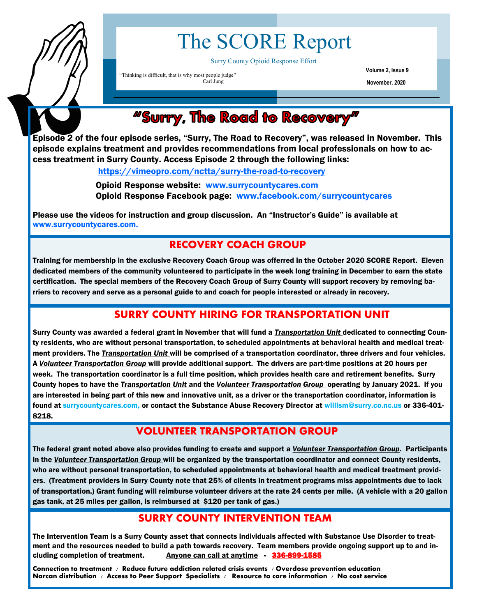

# The SCORE Report

Surry County Opioid Response Effort

"Thinking is difficult, that is why most people judge" Carl Jung

**Volume 2, Issue 9 November, 2020**

# "Surry, The Road to Recovery"

Episode 2 of the four episode series, "Surry, The Road to Recovery", was released in November. This episode explains treatment and provides recommendations from local professionals on how to access treatment in Surry County. Access Episode 2 through the following links:

<https://vimeopro.com/nctta/surry-the-road-to-recovery>

 Opioid Response website: www.surrycountycares.com Opioid Response Facebook page: www.facebook.com/surrycountycares

Please use the videos for instruction and group discussion. An "Instructor's Guide" is available at www.surrycountycares.com.

### **RECOVERY COACH GROUP**

Training for membership in the exclusive Recovery Coach Group was offerred in the October 2020 SCORE Report. Eleven dedicated members of the community volunteered to participate in the week long training in December to earn the state certification. The special members of the Recovery Coach Group of Surry County will support recovery by removing barriers to recovery and serve as a personal guide to and coach for people interested or already in recovery.

## **SURRY COUNTY HIRING FOR TRANSPORTATION UNIT**

Surry County was awarded a federal grant in November that will fund a *Transportation Unit* dedicated to connecting County residents, who are without personal transportation, to scheduled appointments at behavioral health and medical treatment providers. The *Transportation Unit* will be comprised of a transportation coordinator, three drivers and four vehicles. A *Volunteer Transportation Group* will provide additional support. The drivers are part-time positions at 20 hours per week. The transportation coordinator is a full time position, which provides health care and retirement benefits. Surry County hopes to have the *Transportation Unit* and the *Volunteer Transportation Group* operating by January 2021. If you are interested in being part of this new and innovative unit, as a driver or the transportation coordinator, information is found at surrycountycares.com, or contact the Substance Abuse Recovery Director at willism@surry.co.nc.us or 336-401- 8218.

#### **VOLUNTEER TRANSPORTATION GROUP**

The federal grant noted above also provides funding to create and support a *Volunteer Transportation Group*. Participants in the *Volunteer Transportation Group* will be organized by the transportation coordinator and connect County residents, who are without personal transportation, to scheduled appointments at behavioral health and medical treatment providers. (Treatment providers in Surry County note that 25% of clients in treatment programs miss appointments due to lack of transportation.) Grant funding will reimburse volunteer drivers at the rate 24 cents per mile. (A vehicle with a 20 gallon gas tank, at 25 miles per gallon, is reimbursed at \$120 per tank of gas.)

#### **SURRY COUNTY INTERVENTION TEAM**

The Intervention Team is a Surry County asset that connects individuals affected with Substance Use Disorder to treatment and the resources needed to build a path towards recovery. Team members provide ongoing support up to and including completion of treatment. Anyone can call at anytime - 336-899-1585

**Connection to treatment / Reduce future addiction related crisis events / Overdose prevention education Narcan distribution / Access to Peer Support Specialists / Resource to care information / No cost service**